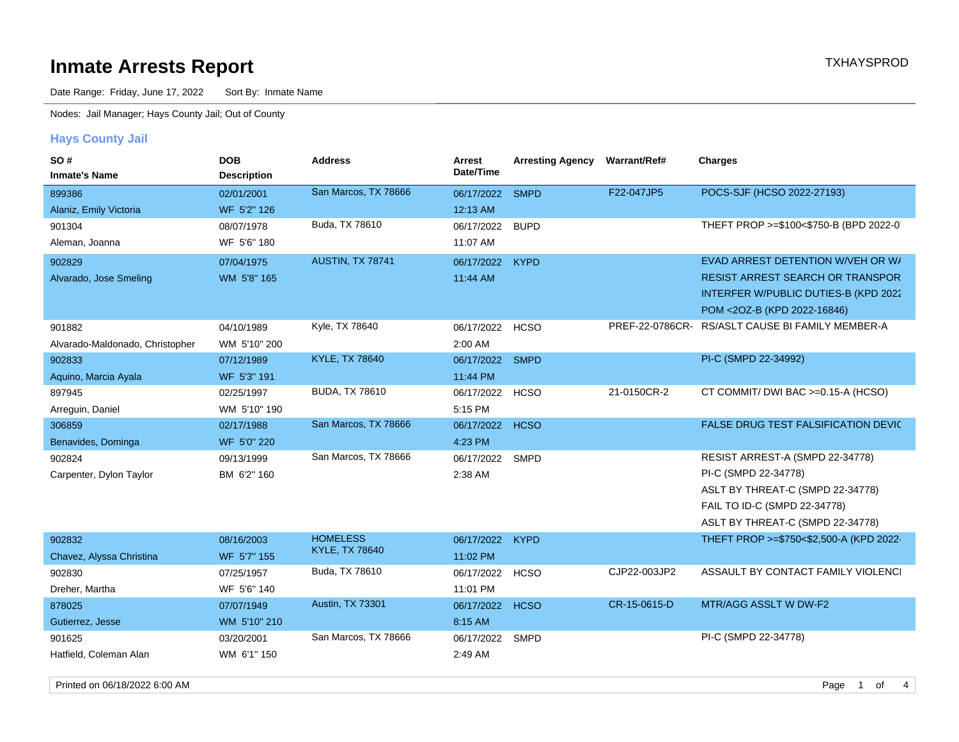## **Inmate Arrests Report TXHAYSPROD Inmate Arrests Report**

Date Range: Friday, June 17, 2022 Sort By: Inmate Name

Nodes: Jail Manager; Hays County Jail; Out of County

### **Hays County Jail**

| SO#<br><b>Inmate's Name</b>     | <b>DOB</b><br><b>Description</b> | <b>Address</b>                           | Arrest<br>Date/Time | <b>Arresting Agency</b> | Warrant/Ref#<br><b>Charges</b> |                                                  |
|---------------------------------|----------------------------------|------------------------------------------|---------------------|-------------------------|--------------------------------|--------------------------------------------------|
| 899386                          | 02/01/2001                       | San Marcos, TX 78666                     | 06/17/2022 SMPD     |                         | F22-047JP5                     | POCS-SJF (HCSO 2022-27193)                       |
| Alaniz, Emily Victoria          | WF 5'2" 126                      |                                          | 12:13 AM            |                         |                                |                                                  |
| 901304                          | 08/07/1978                       | Buda, TX 78610                           | 06/17/2022          | <b>BUPD</b>             |                                | THEFT PROP >=\$100<\$750-B (BPD 2022-0)          |
| Aleman, Joanna                  | WF 5'6" 180                      |                                          | 11:07 AM            |                         |                                |                                                  |
| 902829                          | 07/04/1975                       | AUSTIN, TX 78741                         | 06/17/2022          | <b>KYPD</b>             |                                | EVAD ARREST DETENTION W/VEH OR W/                |
| Alvarado, Jose Smeling          | WM 5'8" 165                      |                                          | 11:44 AM            |                         |                                | RESIST ARREST SEARCH OR TRANSPOR                 |
|                                 |                                  |                                          |                     |                         |                                | INTERFER W/PUBLIC DUTIES-B (KPD 2022             |
|                                 |                                  |                                          |                     |                         |                                | POM <20Z-B (KPD 2022-16846)                      |
| 901882                          | 04/10/1989                       | Kyle, TX 78640                           | 06/17/2022 HCSO     |                         |                                | PREF-22-0786CR- RS/ASLT CAUSE BI FAMILY MEMBER-A |
| Alvarado-Maldonado, Christopher | WM 5'10" 200                     |                                          | 2:00 AM             |                         |                                |                                                  |
| 902833                          | 07/12/1989                       | <b>KYLE, TX 78640</b>                    | 06/17/2022          | <b>SMPD</b>             |                                | PI-C (SMPD 22-34992)                             |
| Aquino, Marcia Ayala            | WF 5'3" 191                      |                                          | 11:44 PM            |                         |                                |                                                  |
| 897945                          | 02/25/1997                       | <b>BUDA, TX 78610</b>                    | 06/17/2022          | <b>HCSO</b>             | 21-0150CR-2                    | CT COMMIT/ DWI BAC >=0.15-A (HCSO)               |
| Arreguin, Daniel                | WM 5'10" 190                     |                                          | 5:15 PM             |                         |                                |                                                  |
| 306859                          | 02/17/1988                       | San Marcos, TX 78666                     | 06/17/2022          | <b>HCSO</b>             |                                | FALSE DRUG TEST FALSIFICATION DEVIC              |
| Benavides, Dominga              | WF 5'0" 220                      |                                          | 4:23 PM             |                         |                                |                                                  |
| 902824                          | 09/13/1999                       | San Marcos, TX 78666                     | 06/17/2022          | <b>SMPD</b>             |                                | RESIST ARREST-A (SMPD 22-34778)                  |
| Carpenter, Dylon Taylor         | BM 6'2" 160                      |                                          | 2:38 AM             |                         |                                | PI-C (SMPD 22-34778)                             |
|                                 |                                  |                                          |                     |                         |                                | ASLT BY THREAT-C (SMPD 22-34778)                 |
|                                 |                                  |                                          |                     |                         |                                | FAIL TO ID-C (SMPD 22-34778)                     |
|                                 |                                  |                                          |                     |                         |                                | ASLT BY THREAT-C (SMPD 22-34778)                 |
| 902832                          | 08/16/2003                       | <b>HOMELESS</b><br><b>KYLE, TX 78640</b> | 06/17/2022          | <b>KYPD</b>             |                                | THEFT PROP >=\$750<\$2,500-A (KPD 2022-          |
| Chavez, Alyssa Christina        | WF 5'7" 155                      |                                          | 11:02 PM            |                         |                                |                                                  |
| 902830                          | 07/25/1957                       | Buda, TX 78610                           | 06/17/2022          | <b>HCSO</b>             | CJP22-003JP2                   | ASSAULT BY CONTACT FAMILY VIOLENCI               |
| Dreher, Martha                  | WF 5'6" 140                      |                                          | 11:01 PM            |                         |                                |                                                  |
| 878025                          | 07/07/1949                       | Austin, TX 73301                         | 06/17/2022          | <b>HCSO</b>             | CR-15-0615-D                   | MTR/AGG ASSLT W DW-F2                            |
| Gutierrez, Jesse                | WM 5'10" 210                     |                                          | 8:15 AM             |                         |                                |                                                  |
| 901625                          | 03/20/2001                       | San Marcos, TX 78666                     | 06/17/2022 SMPD     |                         |                                | PI-C (SMPD 22-34778)                             |
| Hatfield, Coleman Alan          | WM 6'1" 150                      |                                          | 2:49 AM             |                         |                                |                                                  |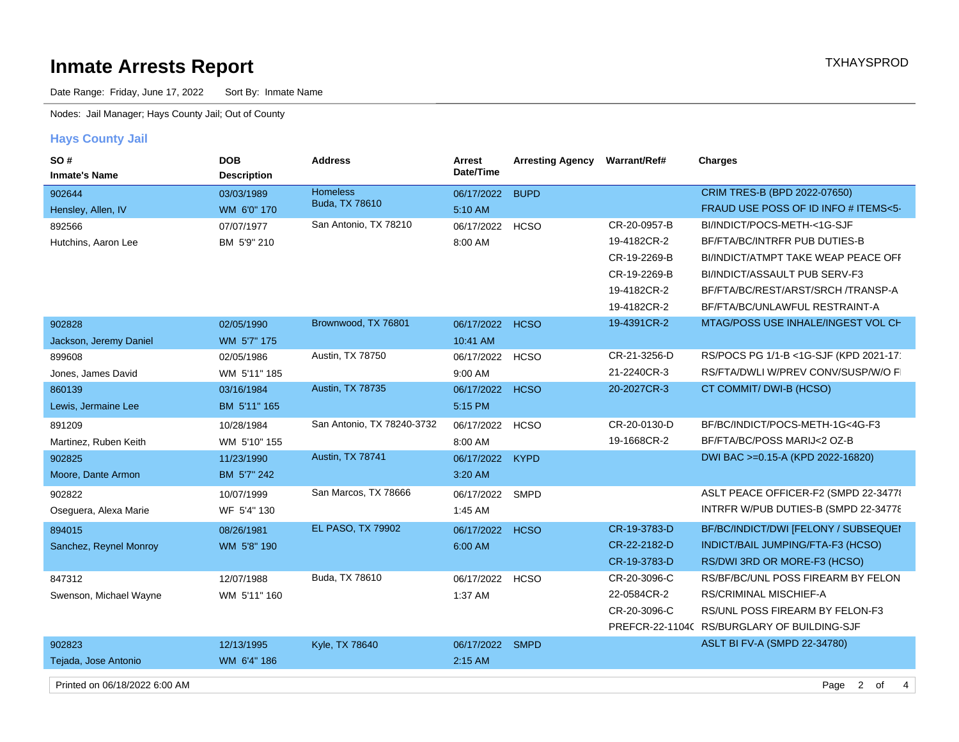# **Inmate Arrests Report** TXHAYSPROD

Date Range: Friday, June 17, 2022 Sort By: Inmate Name

Nodes: Jail Manager; Hays County Jail; Out of County

### **Hays County Jail**

| SO#<br><b>Inmate's Name</b>   | <b>DOB</b><br><b>Description</b> | <b>Address</b>             | <b>Arrest</b><br>Date/Time | <b>Arresting Agency</b> | <b>Warrant/Ref#</b> | <b>Charges</b>                              |
|-------------------------------|----------------------------------|----------------------------|----------------------------|-------------------------|---------------------|---------------------------------------------|
| 902644                        | 03/03/1989                       | <b>Homeless</b>            | 06/17/2022                 | <b>BUPD</b>             |                     | CRIM TRES-B (BPD 2022-07650)                |
| Hensley, Allen, IV            | WM 6'0" 170                      | Buda, TX 78610             | 5:10 AM                    |                         |                     | FRAUD USE POSS OF ID INFO # ITEMS<5-        |
| 892566                        | 07/07/1977                       | San Antonio, TX 78210      | 06/17/2022                 | <b>HCSO</b>             | CR-20-0957-B        | BI/INDICT/POCS-METH-<1G-SJF                 |
| Hutchins, Aaron Lee           | BM 5'9" 210                      |                            | 8:00 AM                    |                         | 19-4182CR-2         | BF/FTA/BC/INTRFR PUB DUTIES-B               |
|                               |                                  |                            |                            |                         | CR-19-2269-B        | BI/INDICT/ATMPT TAKE WEAP PEACE OFF         |
|                               |                                  |                            |                            |                         | CR-19-2269-B        | BI/INDICT/ASSAULT PUB SERV-F3               |
|                               |                                  |                            |                            |                         | 19-4182CR-2         | BF/FTA/BC/REST/ARST/SRCH /TRANSP-A          |
|                               |                                  |                            |                            |                         | 19-4182CR-2         | BF/FTA/BC/UNLAWFUL RESTRAINT-A              |
| 902828                        | 02/05/1990                       | Brownwood, TX 76801        | 06/17/2022 HCSO            |                         | 19-4391CR-2         | MTAG/POSS USE INHALE/INGEST VOL CH          |
| Jackson, Jeremy Daniel        | WM 5'7" 175                      |                            | 10:41 AM                   |                         |                     |                                             |
| 899608                        | 02/05/1986                       | Austin, TX 78750           | 06/17/2022                 | <b>HCSO</b>             | CR-21-3256-D        | RS/POCS PG 1/1-B <1G-SJF (KPD 2021-17       |
| Jones, James David            | WM 5'11" 185                     |                            | 9:00 AM                    |                         | 21-2240CR-3         | RS/FTA/DWLI W/PREV CONV/SUSP/W/O FI         |
| 860139                        | 03/16/1984                       | Austin, TX 78735           | 06/17/2022                 | <b>HCSO</b>             | 20-2027CR-3         | CT COMMIT/ DWI-B (HCSO)                     |
| Lewis, Jermaine Lee           | BM 5'11" 165                     |                            | 5:15 PM                    |                         |                     |                                             |
| 891209                        | 10/28/1984                       | San Antonio, TX 78240-3732 | 06/17/2022                 | <b>HCSO</b>             | CR-20-0130-D        | BF/BC/INDICT/POCS-METH-1G<4G-F3             |
| Martinez, Ruben Keith         | WM 5'10" 155                     |                            | 8:00 AM                    |                         | 19-1668CR-2         | BF/FTA/BC/POSS MARIJ<2 OZ-B                 |
| 902825                        | 11/23/1990                       | Austin, TX 78741           | 06/17/2022                 | <b>KYPD</b>             |                     | DWI BAC >=0.15-A (KPD 2022-16820)           |
| Moore, Dante Armon            | BM 5'7" 242                      |                            | 3:20 AM                    |                         |                     |                                             |
| 902822                        | 10/07/1999                       | San Marcos, TX 78666       | 06/17/2022                 | <b>SMPD</b>             |                     | ASLT PEACE OFFICER-F2 (SMPD 22-34778        |
| Oseguera, Alexa Marie         | WF 5'4" 130                      |                            | 1:45 AM                    |                         |                     | INTRFR W/PUB DUTIES-B (SMPD 22-34778)       |
| 894015                        | 08/26/1981                       | <b>EL PASO, TX 79902</b>   | 06/17/2022                 | <b>HCSO</b>             | CR-19-3783-D        | BF/BC/INDICT/DWI [FELONY / SUBSEQUEI        |
| Sanchez, Reynel Monroy        | WM 5'8" 190                      |                            | 6:00 AM                    |                         | CR-22-2182-D        | INDICT/BAIL JUMPING/FTA-F3 (HCSO)           |
|                               |                                  |                            |                            |                         | CR-19-3783-D        | RS/DWI 3RD OR MORE-F3 (HCSO)                |
| 847312                        | 12/07/1988                       | Buda, TX 78610             | 06/17/2022                 | <b>HCSO</b>             | CR-20-3096-C        | RS/BF/BC/UNL POSS FIREARM BY FELON          |
| Swenson, Michael Wayne        | WM 5'11" 160                     |                            | 1:37 AM                    |                         | 22-0584CR-2         | <b>RS/CRIMINAL MISCHIEF-A</b>               |
|                               |                                  |                            |                            |                         | CR-20-3096-C        | RS/UNL POSS FIREARM BY FELON-F3             |
|                               |                                  |                            |                            |                         |                     | PREFCR-22-1104C RS/BURGLARY OF BUILDING-SJF |
| 902823                        | 12/13/1995                       | Kyle, TX 78640             | 06/17/2022 SMPD            |                         |                     | ASLT BI FV-A (SMPD 22-34780)                |
| Tejada, Jose Antonio          | WM 6'4" 186                      |                            | 2:15 AM                    |                         |                     |                                             |
| Printed on 06/18/2022 6:00 AM |                                  |                            |                            |                         |                     | Page 2<br>4<br>of                           |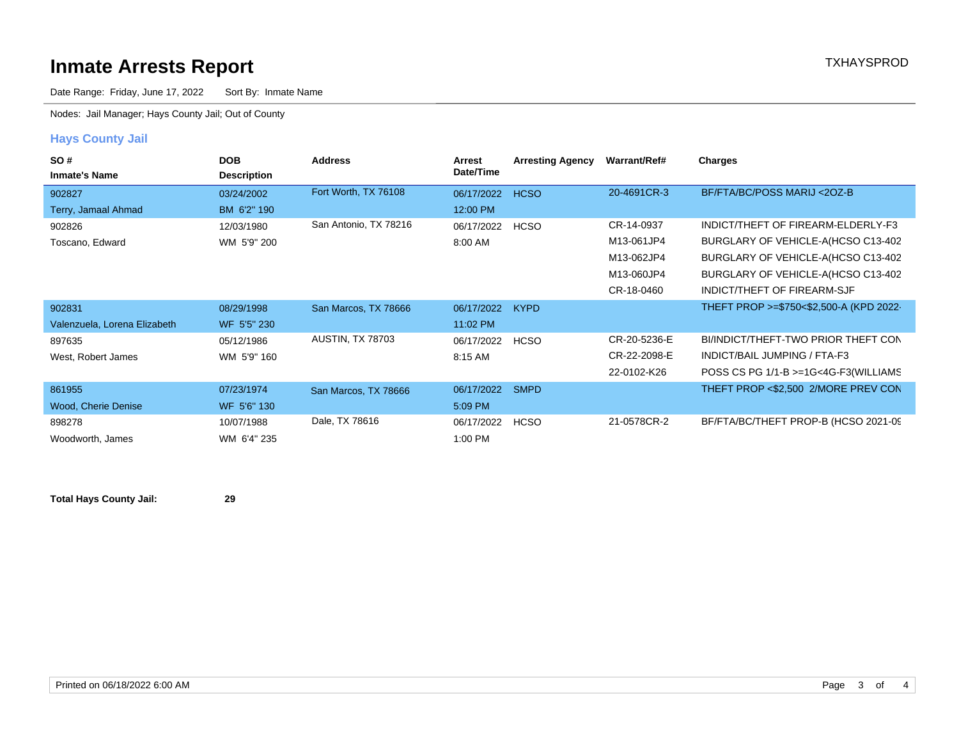## **Inmate Arrests Report TXHAYSPROD**

Date Range: Friday, June 17, 2022 Sort By: Inmate Name

Nodes: Jail Manager; Hays County Jail; Out of County

### **Hays County Jail**

| SO#<br><b>Inmate's Name</b>  | <b>DOB</b><br><b>Description</b> | <b>Address</b>          | Arrest<br>Date/Time | <b>Arresting Agency</b> | Warrant/Ref# | Charges                                 |
|------------------------------|----------------------------------|-------------------------|---------------------|-------------------------|--------------|-----------------------------------------|
| 902827                       | 03/24/2002                       | Fort Worth, TX 76108    | 06/17/2022          | <b>HCSO</b>             | 20-4691CR-3  | BF/FTA/BC/POSS MARIJ <20Z-B             |
| Terry, Jamaal Ahmad          | BM 6'2" 190                      |                         | 12:00 PM            |                         |              |                                         |
| 902826                       | 12/03/1980                       | San Antonio, TX 78216   | 06/17/2022          | <b>HCSO</b>             | CR-14-0937   | INDICT/THEFT OF FIREARM-ELDERLY-F3      |
| Toscano, Edward              | WM 5'9" 200                      |                         | 8:00 AM             |                         | M13-061JP4   | BURGLARY OF VEHICLE-A(HCSO C13-402      |
|                              |                                  |                         |                     |                         | M13-062JP4   | BURGLARY OF VEHICLE-A(HCSO C13-402      |
|                              |                                  |                         |                     |                         | M13-060JP4   | BURGLARY OF VEHICLE-A(HCSO C13-402      |
|                              |                                  |                         |                     |                         | CR-18-0460   | INDICT/THEFT OF FIREARM-SJF             |
| 902831                       | 08/29/1998                       | San Marcos, TX 78666    | 06/17/2022          | <b>KYPD</b>             |              | THEFT PROP >=\$750<\$2,500-A (KPD 2022- |
| Valenzuela, Lorena Elizabeth | WF 5'5" 230                      |                         | 11:02 PM            |                         |              |                                         |
| 897635                       | 05/12/1986                       | <b>AUSTIN, TX 78703</b> | 06/17/2022          | <b>HCSO</b>             | CR-20-5236-E | BI/INDICT/THEFT-TWO PRIOR THEFT CON     |
| West, Robert James           | WM 5'9" 160                      |                         | 8:15 AM             |                         | CR-22-2098-E | INDICT/BAIL JUMPING / FTA-F3            |
|                              |                                  |                         |                     |                         | 22-0102-K26  | POSS CS PG 1/1-B >=1G<4G-F3(WILLIAMS    |
| 861955                       | 07/23/1974                       | San Marcos, TX 78666    | 06/17/2022          | <b>SMPD</b>             |              | THEFT PROP <\$2,500 2/MORE PREV CON     |
| Wood, Cherie Denise          | WF 5'6" 130                      |                         | 5:09 PM             |                         |              |                                         |
| 898278                       | 10/07/1988                       | Dale, TX 78616          | 06/17/2022          | <b>HCSO</b>             | 21-0578CR-2  | BF/FTA/BC/THEFT PROP-B (HCSO 2021-09)   |
| Woodworth, James             | WM 6'4" 235                      |                         | 1:00 PM             |                         |              |                                         |

**Total Hays County Jail: 29**